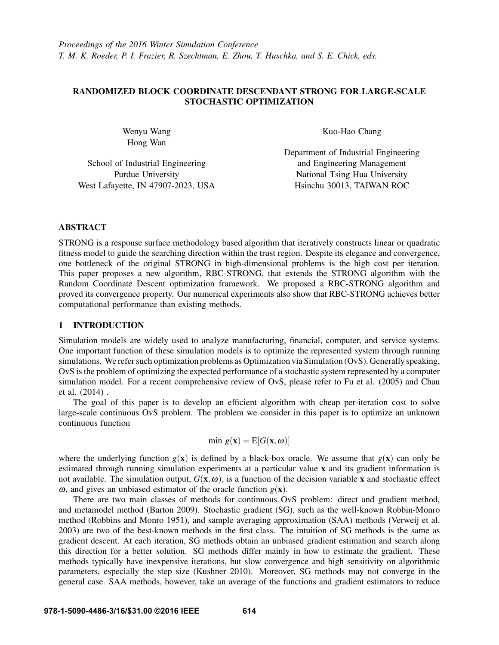# RANDOMIZED BLOCK COORDINATE DESCENDANT STRONG FOR LARGE-SCALE STOCHASTIC OPTIMIZATION

Wenyu Wang Hong Wan

School of Industrial Engineering Purdue University West Lafayette, IN 47907-2023, USA Kuo-Hao Chang

Department of Industrial Engineering and Engineering Management National Tsing Hua University Hsinchu 30013, TAIWAN ROC

## ABSTRACT

STRONG is a response surface methodology based algorithm that iteratively constructs linear or quadratic fitness model to guide the searching direction within the trust region. Despite its elegance and convergence, one bottleneck of the original STRONG in high-dimensional problems is the high cost per iteration. This paper proposes a new algorithm, RBC-STRONG, that extends the STRONG algorithm with the Random Coordinate Descent optimization framework. We proposed a RBC-STRONG algorithm and proved its convergence property. Our numerical experiments also show that RBC-STRONG achieves better computational performance than existing methods.

## 1 INTRODUCTION

Simulation models are widely used to analyze manufacturing, financial, computer, and service systems. One important function of these simulation models is to optimize the represented system through running simulations. We refer such optimization problems as Optimization via Simulation (OvS). Generally speaking, OvS is the problem of optimizing the expected performance of a stochastic system represented by a computer simulation model. For a recent comprehensive review of OvS, please refer to Fu et al. (2005) and Chau et al. (2014) .

The goal of this paper is to develop an efficient algorithm with cheap per-iteration cost to solve large-scale continuous OvS problem. The problem we consider in this paper is to optimize an unknown continuous function

$$
\min g(\mathbf{x}) = \mathrm{E}[G(\mathbf{x}, \boldsymbol{\omega})]
$$

where the underlying function  $g(x)$  is defined by a black-box oracle. We assume that  $g(x)$  can only be estimated through running simulation experiments at a particular value x and its gradient information is not available. The simulation output,  $G(x, \omega)$ , is a function of the decision variable x and stochastic effect  $\omega$ , and gives an unbiased estimator of the oracle function  $g(\mathbf{x})$ .

There are two main classes of methods for continuous OvS problem: direct and gradient method, and metamodel method (Barton 2009). Stochastic gradient (SG), such as the well-known Robbin-Monro method (Robbins and Monro 1951), and sample averaging approximation (SAA) methods (Verweij et al. 2003) are two of the best-known methods in the first class. The intuition of SG methods is the same as gradient descent. At each iteration, SG methods obtain an unbiased gradient estimation and search along this direction for a better solution. SG methods differ mainly in how to estimate the gradient. These methods typically have inexpensive iterations, but slow convergence and high sensitivity on algorithmic parameters, especially the step size (Kushner 2010). Moreover, SG methods may not converge in the general case. SAA methods, however, take an average of the functions and gradient estimators to reduce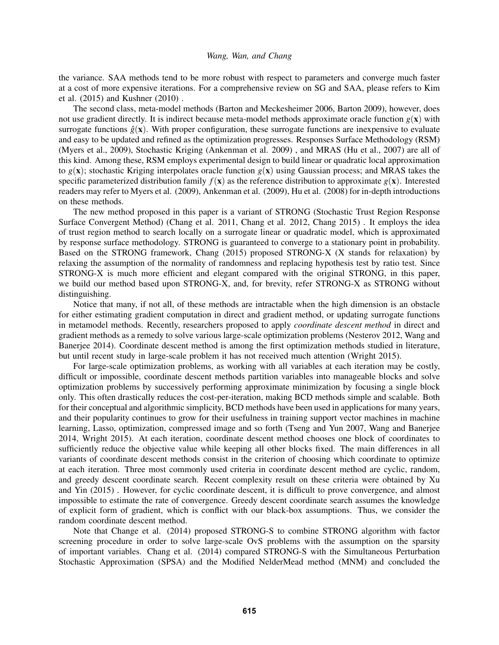the variance. SAA methods tend to be more robust with respect to parameters and converge much faster at a cost of more expensive iterations. For a comprehensive review on SG and SAA, please refers to Kim et al. (2015) and Kushner (2010) .

The second class, meta-model methods (Barton and Meckesheimer 2006, Barton 2009), however, does not use gradient directly. It is indirect because meta-model methods approximate oracle function  $g(x)$  with surrogate functions  $\hat{g}(\mathbf{x})$ . With proper configuration, these surrogate functions are inexpensive to evaluate and easy to be updated and refined as the optimization progresses. Responses Surface Methodology (RSM) (Myers et al., 2009), Stochastic Kriging (Ankenman et al. 2009) , and MRAS (Hu et al., 2007) are all of this kind. Among these, RSM employs experimental design to build linear or quadratic local approximation to  $g(x)$ ; stochastic Kriging interpolates oracle function  $g(x)$  using Gaussian process; and MRAS takes the specific parameterized distribution family  $f(\mathbf{x})$  as the reference distribution to approximate  $g(\mathbf{x})$ . Interested readers may refer to Myers et al. (2009), Ankenman et al. (2009), Hu et al. (2008) for in-depth introductions on these methods.

The new method proposed in this paper is a variant of STRONG (Stochastic Trust Region Response Surface Convergent Method) (Chang et al. 2011, Chang et al. 2012, Chang 2015) . It employs the idea of trust region method to search locally on a surrogate linear or quadratic model, which is approximated by response surface methodology. STRONG is guaranteed to converge to a stationary point in probability. Based on the STRONG framework, Chang (2015) proposed STRONG-X (X stands for relaxation) by relaxing the assumption of the normality of randomness and replacing hypothesis test by ratio test. Since STRONG-X is much more efficient and elegant compared with the original STRONG, in this paper, we build our method based upon STRONG-X, and, for brevity, refer STRONG-X as STRONG without distinguishing.

Notice that many, if not all, of these methods are intractable when the high dimension is an obstacle for either estimating gradient computation in direct and gradient method, or updating surrogate functions in metamodel methods. Recently, researchers proposed to apply *coordinate descent method* in direct and gradient methods as a remedy to solve various large-scale optimization problems (Nesterov 2012, Wang and Banerjee 2014). Coordinate descent method is among the first optimization methods studied in literature, but until recent study in large-scale problem it has not received much attention (Wright 2015).

For large-scale optimization problems, as working with all variables at each iteration may be costly, difficult or impossible, coordinate descent methods partition variables into manageable blocks and solve optimization problems by successively performing approximate minimization by focusing a single block only. This often drastically reduces the cost-per-iteration, making BCD methods simple and scalable. Both for their conceptual and algorithmic simplicity, BCD methods have been used in applications for many years, and their popularity continues to grow for their usefulness in training support vector machines in machine learning, Lasso, optimization, compressed image and so forth (Tseng and Yun 2007, Wang and Banerjee 2014, Wright 2015). At each iteration, coordinate descent method chooses one block of coordinates to sufficiently reduce the objective value while keeping all other blocks fixed. The main differences in all variants of coordinate descent methods consist in the criterion of choosing which coordinate to optimize at each iteration. Three most commonly used criteria in coordinate descent method are cyclic, random, and greedy descent coordinate search. Recent complexity result on these criteria were obtained by Xu and Yin (2015) . However, for cyclic coordinate descent, it is difficult to prove convergence, and almost impossible to estimate the rate of convergence. Greedy descent coordinate search assumes the knowledge of explicit form of gradient, which is conflict with our black-box assumptions. Thus, we consider the random coordinate descent method.

Note that Change et al. (2014) proposed STRONG-S to combine STRONG algorithm with factor screening procedure in order to solve large-scale OvS problems with the assumption on the sparsity of important variables. Chang et al. (2014) compared STRONG-S with the Simultaneous Perturbation Stochastic Approximation (SPSA) and the Modified NelderMead method (MNM) and concluded the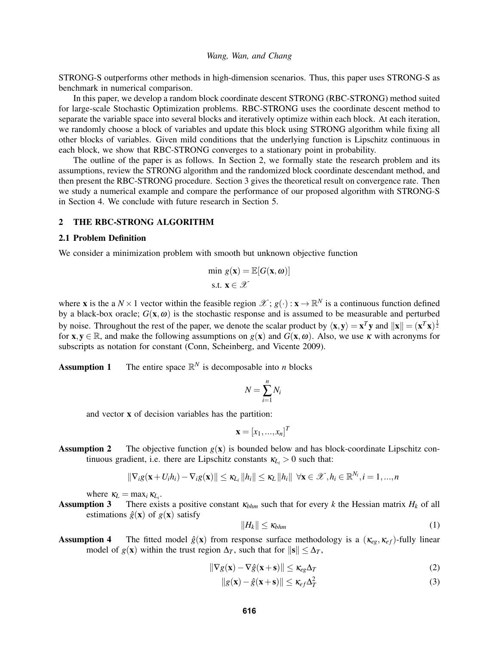STRONG-S outperforms other methods in high-dimension scenarios. Thus, this paper uses STRONG-S as benchmark in numerical comparison.

In this paper, we develop a random block coordinate descent STRONG (RBC-STRONG) method suited for large-scale Stochastic Optimization problems. RBC-STRONG uses the coordinate descent method to separate the variable space into several blocks and iteratively optimize within each block. At each iteration, we randomly choose a block of variables and update this block using STRONG algorithm while fixing all other blocks of variables. Given mild conditions that the underlying function is Lipschitz continuous in each block, we show that RBC-STRONG converges to a stationary point in probability.

The outline of the paper is as follows. In Section 2, we formally state the research problem and its assumptions, review the STRONG algorithm and the randomized block coordinate descendant method, and then present the RBC-STRONG procedure. Section 3 gives the theoretical result on convergence rate. Then we study a numerical example and compare the performance of our proposed algorithm with STRONG-S in Section 4. We conclude with future research in Section 5.

## 2 THE RBC-STRONG ALGORITHM

#### 2.1 Problem Definition

We consider a minimization problem with smooth but unknown objective function

$$
\begin{aligned} &\text{min } g(\mathbf{x}) = \mathbb{E}[G(\mathbf{x}, \boldsymbol{\omega})] \\ &\text{s.t. } \mathbf{x} \in \mathcal{X} \end{aligned}
$$

where **x** is the a  $N \times 1$  vector within the feasible region  $\mathscr{X}$ ;  $g(\cdot)$  :  $\mathbf{x} \to \mathbb{R}^N$  is a continuous function defined by a black-box oracle;  $G(x, \omega)$  is the stochastic response and is assumed to be measurable and perturbed by noise. Throughout the rest of the paper, we denote the scalar product by  $\langle x, y \rangle = x^T y$  and  $||x|| = (x^T x)^{\frac{1}{2}}$ for  $x, y \in \mathbb{R}$ , and make the following assumptions on  $g(x)$  and  $G(x, \omega)$ . Also, we use  $\kappa$  with acronyms for subscripts as notation for constant (Conn, Scheinberg, and Vicente 2009).

**Assumption 1** The entire space  $\mathbb{R}^N$  is decomposable into *n* blocks

$$
N=\sum_{i=1}^n N_i
$$

and vector x of decision variables has the partition:

$$
\mathbf{x} = [x_1, \dots, x_n]^T
$$

**Assumption 2** The objective function  $g(x)$  is bounded below and has block-coordinate Lipschitz continuous gradient, i.e. there are Lipschitz constants  $\kappa_{L_i} > 0$  such that:

$$
\|\nabla_i g(\mathbf{x}+U_i h_i)-\nabla_i g(\mathbf{x})\|\leq \kappa_{L_i} \|h_i\|\leq \kappa_{L} \|h_i\| \ \forall \mathbf{x}\in\mathscr{X}, h_i\in\mathbb{R}^{N_i}, i=1,...,n
$$

where  $\kappa_L = \max_i \kappa_{L_i}$ .

**Assumption 3** There exists a positive constant  $\kappa_{bhm}$  such that for every *k* the Hessian matrix  $H_k$  of all estimations  $\hat{g}(\mathbf{x})$  of  $g(\mathbf{x})$  satisfy

$$
||H_k|| \le \kappa_{bhm} \tag{1}
$$

**Assumption 4** The fitted model  $\hat{g}(\mathbf{x})$  from response surface methodology is a  $(\kappa_{eg}, \kappa_{ef})$ -fully linear model of *g*(**x**) within the trust region  $\Delta_T$ , such that for  $\|\mathbf{s}\| \leq \Delta_T$ ,

$$
\|\nabla g(\mathbf{x}) - \nabla \hat{g}(\mathbf{x} + \mathbf{s})\| \le \kappa_{eg} \Delta_T \tag{2}
$$

$$
||g(\mathbf{x}) - \hat{g}(\mathbf{x} + \mathbf{s})|| \le \kappa_{ef} \Delta_T^2
$$
 (3)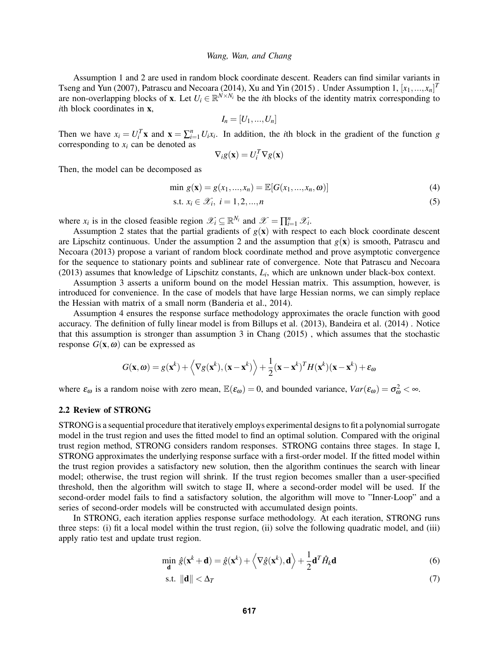Assumption 1 and 2 are used in random block coordinate descent. Readers can find similar variants in Tseng and Yun (2007), Patrascu and Necoara (2014), Xu and Yin (2015) . Under Assumption 1,  $[x_1, ..., x_n]^T$ are non-overlapping blocks of **x**. Let  $U_i \in \mathbb{R}^{N \times N_i}$  be the *i*th blocks of the identity matrix corresponding to *i*th block coordinates in **x**,

$$
I_n=[U_1,...,U_n]
$$

Then we have  $x_i = U_i^T \mathbf{x}$  and  $\mathbf{x} = \sum_{i=1}^n U_i x_i$ . In addition, the *i*th block in the gradient of the function *g* corresponding to  $x_i$  can be denoted as

$$
\nabla_i g(\mathbf{x}) = U_i^T \nabla g(\mathbf{x})
$$

Then, the model can be decomposed as

$$
\min g(\mathbf{x}) = g(x_1, ..., x_n) = \mathbb{E}[G(x_1, ..., x_n, \omega)] \tag{4}
$$

$$
\text{s.t. } x_i \in \mathcal{X}_i, \ i = 1, 2, \dots, n \tag{5}
$$

where  $x_i$  is in the closed feasible region  $\mathscr{X}_i \subseteq \mathbb{R}^{N_i}$  and  $\mathscr{X} = \prod_{i=1}^n \mathscr{X}_i$ .

Assumption 2 states that the partial gradients of  $g(x)$  with respect to each block coordinate descent are Lipschitz continuous. Under the assumption 2 and the assumption that  $g(x)$  is smooth, Patrascu and Necoara (2013) propose a variant of random block coordinate method and prove asymptotic convergence for the sequence to stationary points and sublinear rate of convergence. Note that Patrascu and Necoara (2013) assumes that knowledge of Lipschitz constants, *L<sup>i</sup>* , which are unknown under black-box context.

Assumption 3 asserts a uniform bound on the model Hessian matrix. This assumption, however, is introduced for convenience. In the case of models that have large Hessian norms, we can simply replace the Hessian with matrix of a small norm (Banderia et al., 2014).

Assumption 4 ensures the response surface methodology approximates the oracle function with good accuracy. The definition of fully linear model is from Billups et al. (2013), Bandeira et al. (2014) . Notice that this assumption is stronger than assumption 3 in Chang (2015) , which assumes that the stochastic response  $G(\mathbf{x}, \omega)$  can be expressed as

$$
G(\mathbf{x},\omega) = g(\mathbf{x}^k) + \left\langle \nabla g(\mathbf{x}^k), (\mathbf{x} - \mathbf{x}^k) \right\rangle + \frac{1}{2} (\mathbf{x} - \mathbf{x}^k)^T H(\mathbf{x}^k) (\mathbf{x} - \mathbf{x}^k) + \varepsilon_{\omega}
$$

where  $\varepsilon_{\omega}$  is a random noise with zero mean,  $\mathbb{E}(\varepsilon_{\omega}) = 0$ , and bounded variance,  $Var(\varepsilon_{\omega}) = \sigma_{\omega}^2 < \infty$ .

## 2.2 Review of STRONG

STRONG is a sequential procedure that iteratively employs experimental designs to fit a polynomial surrogate model in the trust region and uses the fitted model to find an optimal solution. Compared with the original trust region method, STRONG considers random responses. STRONG contains three stages. In stage I, STRONG approximates the underlying response surface with a first-order model. If the fitted model within the trust region provides a satisfactory new solution, then the algorithm continues the search with linear model; otherwise, the trust region will shrink. If the trust region becomes smaller than a user-specified threshold, then the algorithm will switch to stage II, where a second-order model will be used. If the second-order model fails to find a satisfactory solution, the algorithm will move to "Inner-Loop" and a series of second-order models will be constructed with accumulated design points.

In STRONG, each iteration applies response surface methodology. At each iteration, STRONG runs three steps: (i) fit a local model within the trust region, (ii) solve the following quadratic model, and (iii) apply ratio test and update trust region.

$$
\min_{\mathbf{d}} \hat{g}(\mathbf{x}^k + \mathbf{d}) = \hat{g}(\mathbf{x}^k) + \left\langle \nabla \hat{g}(\mathbf{x}^k), \mathbf{d} \right\rangle + \frac{1}{2} \mathbf{d}^T \hat{H}_k \mathbf{d}
$$
(6)

$$
\text{s.t. } \|\mathbf{d}\| < \Delta_T \tag{7}
$$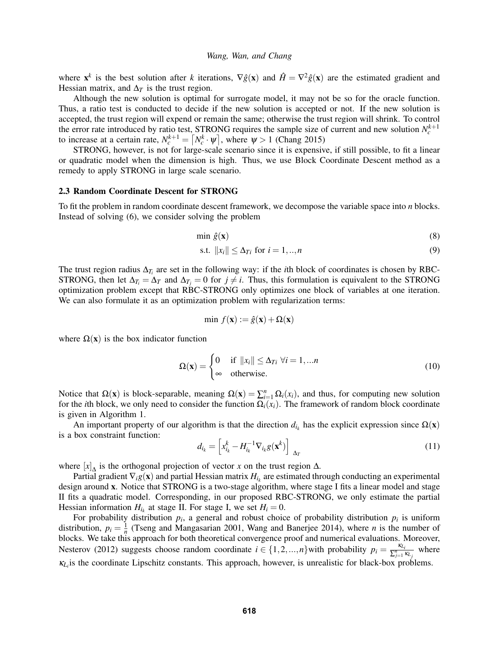where  $\mathbf{x}^k$  is the best solution after *k* iterations,  $\nabla \hat{g}(\mathbf{x})$  and  $\hat{H} = \nabla^2 \hat{g}(\mathbf{x})$  are the estimated gradient and Hessian matrix, and  $\Delta_T$  is the trust region.

Although the new solution is optimal for surrogate model, it may not be so for the oracle function. Thus, a ratio test is conducted to decide if the new solution is accepted or not. If the new solution is accepted, the trust region will expend or remain the same; otherwise the trust region will shrink. To control the error rate introduced by ratio test, STRONG requires the sample size of current and new solution  $N_c^{k+1}$ to increase at a certain rate,  $N_c^{k+1} = \lceil N_c^k \cdot \psi \rceil$ , where  $\psi > 1$  (Chang 2015)

STRONG, however, is not for large-scale scenario since it is expensive, if still possible, to fit a linear or quadratic model when the dimension is high. Thus, we use Block Coordinate Descent method as a remedy to apply STRONG in large scale scenario.

#### 2.3 Random Coordinate Descent for STRONG

To fit the problem in random coordinate descent framework, we decompose the variable space into *n* blocks. Instead of solving (6), we consider solving the problem

$$
\min \hat{g}(\mathbf{x}) \tag{8}
$$

$$
\text{s.t. } \|x_i\| \le \Delta_{Ti} \text{ for } i = 1, \dots, n \tag{9}
$$

The trust region radius  $\Delta_{T_i}$  are set in the following way: if the *i*th block of coordinates is chosen by RBC-STRONG, then let  $\Delta_{T_i} = \Delta_T$  and  $\Delta_{T_i} = 0$  for  $j \neq i$ . Thus, this formulation is equivalent to the STRONG optimization problem except that RBC-STRONG only optimizes one block of variables at one iteration. We can also formulate it as an optimization problem with regularization terms:

$$
\min f(\mathbf{x}) := \hat{g}(\mathbf{x}) + \Omega(\mathbf{x})
$$

where  $\Omega(x)$  is the box indicator function

$$
\Omega(\mathbf{x}) = \begin{cases} 0 & \text{if } ||x_i|| \le \Delta_{Ti} \ \forall i = 1, ...n \\ \infty & \text{otherwise.} \end{cases}
$$
 (10)

Notice that  $\Omega(\mathbf{x})$  is block-separable, meaning  $\Omega(\mathbf{x}) = \sum_{i=1}^{n} \Omega_i(x_i)$ , and thus, for computing new solution for the *i*th block, we only need to consider the function  $\Omega_i(x_i)$ . The framework of random block coordinate is given in Algorithm 1.

An important property of our algorithm is that the direction  $d_{i_k}$  has the explicit expression since  $\Omega(x)$ is a box constraint function:

$$
d_{i_k} = \left[ x_{i_k}^k - H_{i_k}^{-1} \nabla_{i_k} g(\mathbf{x}^k) \right]_{\Delta_T}
$$
 (11)

where  $[x]_ \Delta$  is the orthogonal projection of vector *x* on the trust region  $\Delta$ .

Partial gradient  $\nabla_i g(\mathbf{x})$  and partial Hessian matrix  $H_{i_k}$  are estimated through conducting an experimental design around x. Notice that STRONG is a two-stage algorithm, where stage I fits a linear model and stage II fits a quadratic model. Corresponding, in our proposed RBC-STRONG, we only estimate the partial Hessian information  $H_{i_k}$  at stage II. For stage I, we set  $H_i = 0$ .

For probability distribution  $p_i$ , a general and robust choice of probability distribution  $p_i$  is uniform distribution,  $p_i = \frac{1}{n}$  (Tseng and Mangasarian 2001, Wang and Banerjee 2014), where *n* is the number of blocks. We take this approach for both theoretical convergence proof and numerical evaluations. Moreover, Nesterov (2012) suggests choose random coordinate  $i \in \{1, 2, ..., n\}$  with probability  $p_i = \frac{\kappa L_i}{\sum_{i=1}^{n} \kappa L_i}$  $\frac{\kappa_{L_i}}{\sum_{j=1}^n \kappa_{L_j}}$  where  $\kappa_{L_i}$  is the coordinate Lipschitz constants. This approach, however, is unrealistic for black-box problems.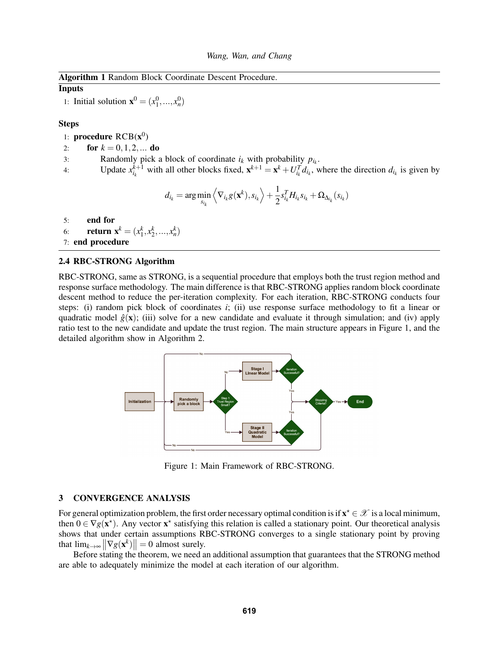| <b>Algorithm 1 Random Block Coordinate Descent Procedure.</b> |  |
|---------------------------------------------------------------|--|
|---------------------------------------------------------------|--|

## Inputs

1: Initial solution  $\mathbf{x}^0 = (x_1^0, ..., x_n^0)$ 

## Steps

- 1: **procedure**  $RCB(x^0)$
- 2: **for**  $k = 0, 1, 2, ...$  **do**
- 3: Randomly pick a block of coordinate  $i_k$  with probability  $p_{i_k}$ .
- 4: Update  $x_{i_k}^{k+1}$  with all other blocks fixed,  $\mathbf{x}^{k+1} = \mathbf{x}^k + U_{i_k}^T d_{i_k}$ , where the direction  $d_{i_k}$  is given by

$$
d_{i_k} = \arg\min_{s_{i_k}} \left\langle \nabla_{i_k} g(\mathbf{x}^k), s_{i_k} \right\rangle + \frac{1}{2} s_{i_k}^T H_{i_k} s_{i_k} + \Omega_{\Delta_{i_k}}(s_{i_k})
$$

5: end for

- 6: **return**  $\mathbf{x}^k = (x_1^k, x_2^k, ..., x_n^k)$
- 7: end procedure

## 2.4 RBC-STRONG Algorithm

RBC-STRONG, same as STRONG, is a sequential procedure that employs both the trust region method and response surface methodology. The main difference is that RBC-STRONG applies random block coordinate descent method to reduce the per-iteration complexity. For each iteration, RBC-STRONG conducts four steps: (i) random pick block of coordinates *i*; (ii) use response surface methodology to fit a linear or quadratic model  $\hat{g}(\mathbf{x})$ ; (iii) solve for a new candidate and evaluate it through simulation; and (iv) apply ratio test to the new candidate and update the trust region. The main structure appears in Figure 1, and the detailed algorithm show in Algorithm 2.



Figure 1: Main Framework of RBC-STRONG.

# 3 CONVERGENCE ANALYSIS

For general optimization problem, the first order necessary optimal condition is if  $x^* \in \mathscr{X}$  is a local minimum, then  $0 \in \nabla g(\mathbf{x}^*)$ . Any vector  $\mathbf{x}^*$  satisfying this relation is called a stationary point. Our theoretical analysis shows that under certain assumptions RBC-STRONG converges to a single stationary point by proving that  $\lim_{k \to \infty} ||\nabla g(\mathbf{x}^k)|| = 0$  almost surely.

Before stating the theorem, we need an additional assumption that guarantees that the STRONG method are able to adequately minimize the model at each iteration of our algorithm.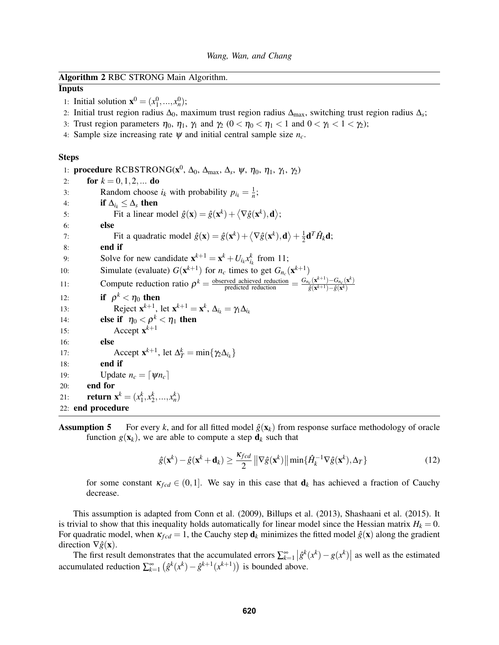## Algorithm 2 RBC STRONG Main Algorithm.

## Inputs

- 1: Initial solution  $\mathbf{x}^0 = (x_1^0, ..., x_n^0);$
- 2: Initial trust region radius ∆0, maximum trust region radius ∆max, switching trust region radius ∆*<sup>s</sup>* ;
- 3: Trust region parameters  $\eta_0$ ,  $\eta_1$ ,  $\eta_1$  and  $\eta_2$  ( $0 < \eta_0 < \eta_1 < 1$  and  $0 < \eta_1 < 1 < \eta_2$ );
- 4: Sample size increasing rate  $\psi$  and initial central sample size  $n_c$ .

### Steps

1: **procedure** RCBSTRONG( $\mathbf{x}^0$ , Δ<sub>0</sub>, Δ<sub>max</sub>, Δ<sub>s</sub>, ψ, η<sub>0</sub>, η<sub>1</sub>, γ<sub>1</sub>, γ<sub>2</sub>) 2: **for**  $k = 0, 1, 2, ...$  **do** 3: Random choose  $i_k$  with probability  $p_{i_k} = \frac{1}{n}$ ; 4: **if**  $\Delta_i \leq \Delta_s$  then 5: Fit a linear model  $\hat{g}(\mathbf{x}) = \hat{g}(\mathbf{x}^k) + \langle \nabla \hat{g}(\mathbf{x}^k), \mathbf{d} \rangle$ ; 6: else 7: Fit a quadratic model  $\hat{g}(\mathbf{x}) = \hat{g}(\mathbf{x}^k) + \langle \nabla \hat{g}(\mathbf{x}^k), \mathbf{d} \rangle + \frac{1}{2}$  $\frac{1}{2}$ **d**<sup>*T*</sup> $\hat{H}_k$ **d**; 8: end if 9: Solve for new candidate  $\mathbf{x}^{k+1} = \mathbf{x}^k + U_{i_k} x_{i_k}^k$  from 11; *ik* 10: Simulate (evaluate)  $G(\mathbf{x}^{k+1})$  for  $n_c$  times to get  $G_{n_c}(\mathbf{x}^{k+1})$ 11: Compute reduction ratio  $\rho^k = \frac{\text{observed achieved reduction}}{\text{predicted reduction}} = \frac{G_{n_c}(\mathbf{x}^{k+1}) - G_{n_c}(\mathbf{x}^k)}{\hat{g}(\mathbf{x}^{k+1}) - \hat{g}(\mathbf{x}^k)}$  $\hat{g}(\mathbf{x}^{k+1})-\hat{g}(\mathbf{x}^k)$ 12: **if**  $\rho^k < \eta_0$  then 13: Reject  $\mathbf{x}^{k+1}$ , let  $\mathbf{x}^{k+1} = \mathbf{x}^k$ ,  $\Delta_{i_k} = \gamma_1 \Delta_{i_k}$ 14: **else if**  $\eta_0 < \rho^k < \eta_1$  then 15: Accept  $\mathbf{x}^{k+1}$ 16: else 17: Accept  $\mathbf{x}^{k+1}$ , let  $\Delta_T^k = \min\{\gamma_2 \Delta_{i_k}\}\$ 18: end if 19: Update  $n_c = \lfloor \psi n_c \rfloor$ 20: end for 21: **return**  $\mathbf{x}^k = (x_1^k, x_2^k, ..., x_n^k)$ 22: end procedure

**Assumption 5** For every k, and for all fitted model  $\hat{g}(\mathbf{x}_k)$  from response surface methodology of oracle function  $g(\mathbf{x}_k)$ , we are able to compute a step  $\mathbf{d}_k$  such that

$$
\hat{g}(\mathbf{x}^k) - \hat{g}(\mathbf{x}^k + \mathbf{d}_k) \ge \frac{\kappa_{fcd}}{2} \left\| \nabla \hat{g}(\mathbf{x}^k) \right\| \min\{\hat{H}_k^{-1} \nabla \hat{g}(\mathbf{x}^k), \Delta_T\}
$$
(12)

for some constant  $\kappa_{fcd} \in (0,1]$ . We say in this case that  $\mathbf{d}_k$  has achieved a fraction of Cauchy decrease.

This assumption is adapted from Conn et al. (2009), Billups et al. (2013), Shashaani et al. (2015). It is trivial to show that this inequality holds automatically for linear model since the Hessian matrix  $H_k = 0$ . For quadratic model, when  $\kappa_{fcd} = 1$ , the Cauchy step  $\mathbf{d}_k$  minimizes the fitted model  $\hat{g}(\mathbf{x})$  along the gradient direction  $\nabla \hat{g}(\mathbf{x})$ .

The first result demonstrates that the accumulated errors  $\sum_{k=1}^{\infty} |\hat{g}^k(x^k) - g(x^k)|$  as well as the estimated accumulated reduction  $\sum_{k=1}^{\infty} (\hat{g}^k(x^k) - \hat{g}^{k+1}(x^{k+1}))$  is bounded above.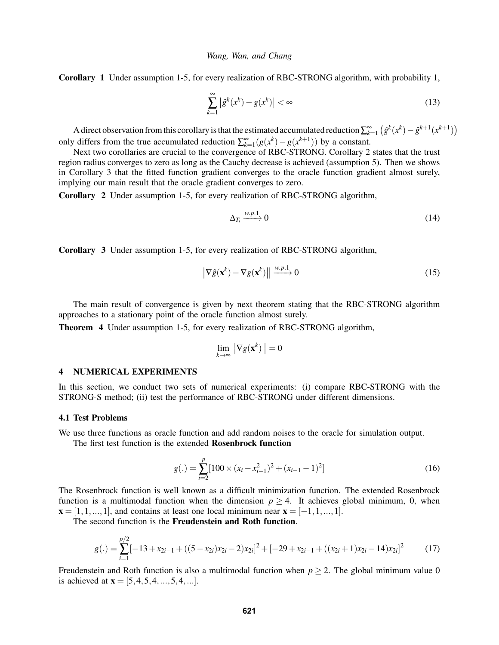Corollary 1 Under assumption 1-5, for every realization of RBC-STRONG algorithm, with probability 1,

$$
\sum_{k=1}^{\infty} \left| \hat{g}^k(x^k) - g(x^k) \right| < \infty \tag{13}
$$

A direct observation from this corollary is that the estimated accumulated reduction  $\sum_{k=1}^{\infty} (\hat{g}^k(x^k) - \hat{g}^{k+1}(x^{k+1}))$ only differs from the true accumulated reduction  $\sum_{k=1}^{\infty} (g(x^k) - g(x^{k+1}))$  by a constant.

Next two corollaries are crucial to the convergence of RBC-STRONG. Corollary 2 states that the trust region radius converges to zero as long as the Cauchy decrease is achieved (assumption 5). Then we shows in Corollary 3 that the fitted function gradient converges to the oracle function gradient almost surely, implying our main result that the oracle gradient converges to zero.

Corollary 2 Under assumption 1-5, for every realization of RBC-STRONG algorithm,

$$
\Delta_{T_i} \xrightarrow{w.p.1} 0 \tag{14}
$$

Corollary 3 Under assumption 1-5, for every realization of RBC-STRONG algorithm,

$$
\left\| \nabla \hat{g}(\mathbf{x}^k) - \nabla g(\mathbf{x}^k) \right\| \xrightarrow{w.p.1} 0 \tag{15}
$$

The main result of convergence is given by next theorem stating that the RBC-STRONG algorithm approaches to a stationary point of the oracle function almost surely.

Theorem 4 Under assumption 1-5, for every realization of RBC-STRONG algorithm,

$$
\lim_{k \to \infty} \left\| \nabla g(\mathbf{x}^k) \right\| = 0
$$

## 4 NUMERICAL EXPERIMENTS

In this section, we conduct two sets of numerical experiments: (i) compare RBC-STRONG with the STRONG-S method; (ii) test the performance of RBC-STRONG under different dimensions.

### 4.1 Test Problems

We use three functions as oracle function and add random noises to the oracle for simulation output.

The first test function is the extended Rosenbrock function

$$
g(.) = \sum_{i=2}^{p} [100 \times (x_i - x_{i-1}^2)^2 + (x_{i-1} - 1)^2]
$$
\n(16)

The Rosenbrock function is well known as a difficult minimization function. The extended Rosenbrock function is a multimodal function when the dimension  $p \geq 4$ . It achieves global minimum, 0, when  $\mathbf{x} = [1, 1, \dots, 1]$ , and contains at least one local minimum near  $\mathbf{x} = [-1, 1, \dots, 1]$ .

The second function is the Freudenstein and Roth function.

$$
g(.) = \sum_{i=1}^{p/2} [-13 + x_{2i-1} + ((5 - x_{2i})x_{2i} - 2)x_{2i}]^{2} + [-29 + x_{2i-1} + ((x_{2i} + 1)x_{2i} - 14)x_{2i}]^{2}
$$
(17)

Freudenstein and Roth function is also a multimodal function when  $p \ge 2$ . The global minimum value 0 is achieved at  $\mathbf{x} = [5, 4, 5, 4, \dots, 5, 4, \dots].$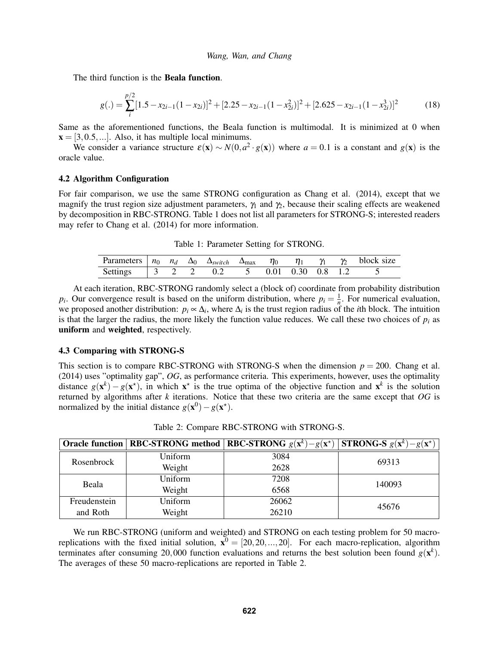The third function is the **Beala function**.

$$
g(.) = \sum_{i}^{p/2} [1.5 - x_{2i-1}(1 - x_{2i})]^2 + [2.25 - x_{2i-1}(1 - x_{2i}^2)]^2 + [2.625 - x_{2i-1}(1 - x_{2i}^3)]^2
$$
(18)

Same as the aforementioned functions, the Beala function is multimodal. It is minimized at 0 when  $\mathbf{x} = [3, 0.5, \ldots]$ . Also, it has multiple local minimums.

We consider a variance structure  $\varepsilon(\mathbf{x}) \sim N(0, a^2 \cdot g(\mathbf{x}))$  where  $a = 0.1$  is a constant and  $g(\mathbf{x})$  is the oracle value.

### 4.2 Algorithm Configuration

For fair comparison, we use the same STRONG configuration as Chang et al. (2014), except that we magnify the trust region size adjustment parameters,  $\gamma_1$  and  $\gamma_2$ , because their scaling effects are weakened by decomposition in RBC-STRONG. Table 1 does not list all parameters for STRONG-S; interested readers may refer to Chang et al. (2014) for more information.

Table 1: Parameter Setting for STRONG.

| Parameters $n_0$ $n_d$ $\Delta_0$ $\Delta_{switch}$ $\Delta_{\text{max}}$ $\eta_0$ |  |  |  | $\eta_1$ $\gamma_1$ $\gamma_2$ |  | block size |
|------------------------------------------------------------------------------------|--|--|--|--------------------------------|--|------------|
| Settings                                                                           |  |  |  | $0.01$ $0.30$ $0.8$ 1.2        |  |            |

At each iteration, RBC-STRONG randomly select a (block of) coordinate from probability distribution  $p_i$ . Our convergence result is based on the uniform distribution, where  $p_i = \frac{1}{n}$ . For numerical evaluation, we proposed another distribution:  $p_i \propto \Delta_i$ , where  $\Delta_i$  is the trust region radius of the *i*th block. The intuition is that the larger the radius, the more likely the function value reduces. We call these two choices of  $p_i$  as uniform and weighted, respectively.

## 4.3 Comparing with STRONG-S

This section is to compare RBC-STRONG with STRONG-S when the dimension  $p = 200$ . Chang et al. (2014) uses "optimality gap", *OG*, as performance criteria. This experiments, however, uses the optimality distance  $g(x^k) - g(x^*)$ , in which  $x^*$  is the true optima of the objective function and  $x^k$  is the solution returned by algorithms after *k* iterations. Notice that these two criteria are the same except that *OG* is normalized by the initial distance  $g(\mathbf{x}^0) - g(\mathbf{x}^*)$ .

|              |         | Oracle function   RBC-STRONG method   RBC-STRONG $g(x^k) - g(x^*)$ | <b>STRONG-S</b> $g(\mathbf{x}^k) - g(\mathbf{x}^*)$ |
|--------------|---------|--------------------------------------------------------------------|-----------------------------------------------------|
| Rosenbrock   | Uniform | 3084                                                               | 69313                                               |
|              | Weight  | 2628                                                               |                                                     |
| Beala        | Uniform | 7208                                                               | 140093                                              |
|              | Weight  | 6568                                                               |                                                     |
| Freudenstein | Uniform | 26062                                                              | 45676                                               |
| and Roth     | Weight  | 26210                                                              |                                                     |

Table 2: Compare RBC-STRONG with STRONG-S.

We run RBC-STRONG (uniform and weighted) and STRONG on each testing problem for 50 macroreplications with the fixed initial solution,  $\mathbf{x}^0 = [20, 20, ..., 20]$ . For each macro-replication, algorithm terminates after consuming 20,000 function evaluations and returns the best solution been found  $g(\mathbf{x}^k)$ . The averages of these 50 macro-replications are reported in Table 2.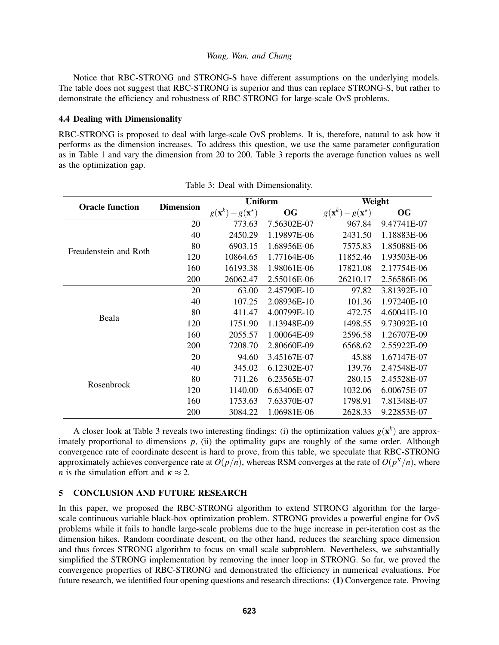Notice that RBC-STRONG and STRONG-S have different assumptions on the underlying models. The table does not suggest that RBC-STRONG is superior and thus can replace STRONG-S, but rather to demonstrate the efficiency and robustness of RBC-STRONG for large-scale OvS problems.

## 4.4 Dealing with Dimensionality

RBC-STRONG is proposed to deal with large-scale OvS problems. It is, therefore, natural to ask how it performs as the dimension increases. To address this question, we use the same parameter configuration as in Table 1 and vary the dimension from 20 to 200. Table 3 reports the average function values as well as the optimization gap.

| <b>Oracle function</b> | <b>Dimension</b> | <b>Uniform</b>                                |             | Weight                                        |             |  |
|------------------------|------------------|-----------------------------------------------|-------------|-----------------------------------------------|-------------|--|
|                        |                  | $g(\mathbf{x}^k)$<br>$-g(\mathbf{x}^{\star})$ | <b>OG</b>   | $g(\mathbf{x}^k)$<br>$-g(\mathbf{x}^{\star})$ | OG          |  |
| Freudenstein and Roth  | 20               | 773.63                                        | 7.56302E-07 | 967.84                                        | 9.47741E-07 |  |
|                        | 40               | 2450.29                                       | 1.19897E-06 | 2431.50                                       | 1.18883E-06 |  |
|                        | 80               | 6903.15                                       | 1.68956E-06 | 7575.83                                       | 1.85088E-06 |  |
|                        | 120              | 10864.65                                      | 1.77164E-06 | 11852.46                                      | 1.93503E-06 |  |
|                        | 160              | 16193.38                                      | 1.98061E-06 | 17821.08                                      | 2.17754E-06 |  |
|                        | 200              | 26062.47                                      | 2.55016E-06 | 26210.17                                      | 2.56586E-06 |  |
|                        | 20               | 63.00                                         | 2.45790E-10 | 97.82                                         | 3.81392E-10 |  |
|                        | 40               | 107.25                                        | 2.08936E-10 | 101.36                                        | 1.97240E-10 |  |
| Beala                  | 80               | 411.47                                        | 4.00799E-10 | 472.75                                        | 4.60041E-10 |  |
|                        | 120              | 1751.90                                       | 1.13948E-09 | 1498.55                                       | 9.73092E-10 |  |
|                        | 160              | 2055.57                                       | 1.00064E-09 | 2596.58                                       | 1.26707E-09 |  |
|                        | 200              | 7208.70                                       | 2.80660E-09 | 6568.62                                       | 2.55922E-09 |  |
| Rosenbrock             | 20               | 94.60                                         | 3.45167E-07 | 45.88                                         | 1.67147E-07 |  |
|                        | 40               | 345.02                                        | 6.12302E-07 | 139.76                                        | 2.47548E-07 |  |
|                        | 80               | 711.26                                        | 6.23565E-07 | 280.15                                        | 2.45528E-07 |  |
|                        | 120              | 1140.00                                       | 6.63406E-07 | 1032.06                                       | 6.00675E-07 |  |
|                        | 160              | 1753.63                                       | 7.63370E-07 | 1798.91                                       | 7.81348E-07 |  |
|                        | 200              | 3084.22                                       | 1.06981E-06 | 2628.33                                       | 9.22853E-07 |  |

Table 3: Deal with Dimensionality.

A closer look at Table 3 reveals two interesting findings: (i) the optimization values  $g(\mathbf{x}^k)$  are approximately proportional to dimensions  $p$ , (ii) the optimality gaps are roughly of the same order. Although convergence rate of coordinate descent is hard to prove, from this table, we speculate that RBC-STRONG approximately achieves convergence rate at  $O(p/n)$ , whereas RSM converges at the rate of  $O(p<sup>\kappa</sup>/n)$ , where *n* is the simulation effort and  $\kappa \approx 2$ .

## 5 CONCLUSION AND FUTURE RESEARCH

In this paper, we proposed the RBC-STRONG algorithm to extend STRONG algorithm for the largescale continuous variable black-box optimization problem. STRONG provides a powerful engine for OvS problems while it fails to handle large-scale problems due to the huge increase in per-iteration cost as the dimension hikes. Random coordinate descent, on the other hand, reduces the searching space dimension and thus forces STRONG algorithm to focus on small scale subproblem. Nevertheless, we substantially simplified the STRONG implementation by removing the inner loop in STRONG. So far, we proved the convergence properties of RBC-STRONG and demonstrated the efficiency in numerical evaluations. For future research, we identified four opening questions and research directions: (1) Convergence rate. Proving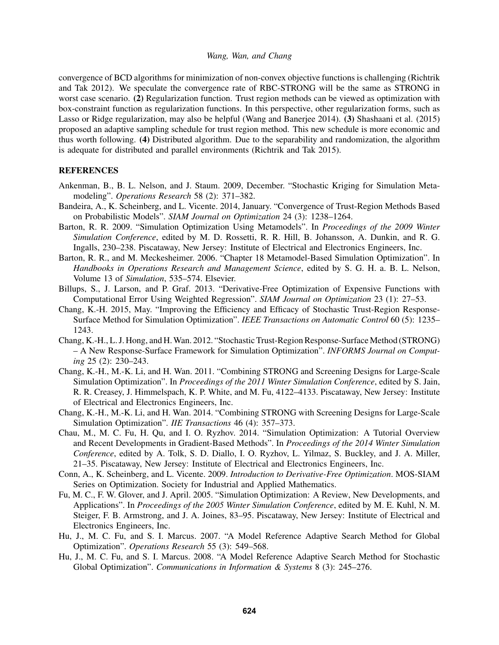convergence of BCD algorithms for minimization of non-convex objective functions is challenging (Richtrik and Tak 2012). We speculate the convergence rate of RBC-STRONG will be the same as STRONG in worst case scenario. (2) Regularization function. Trust region methods can be viewed as optimization with box-constraint function as regularization functions. In this perspective, other regularization forms, such as Lasso or Ridge regularization, may also be helpful (Wang and Banerjee 2014). (3) Shashaani et al. (2015) proposed an adaptive sampling schedule for trust region method. This new schedule is more economic and thus worth following. (4) Distributed algorithm. Due to the separability and randomization, the algorithm is adequate for distributed and parallel environments (Richtrik and Tak 2015).

# **REFERENCES**

- Ankenman, B., B. L. Nelson, and J. Staum. 2009, December. "Stochastic Kriging for Simulation Metamodeling". *Operations Research* 58 (2): 371–382.
- Bandeira, A., K. Scheinberg, and L. Vicente. 2014, January. "Convergence of Trust-Region Methods Based on Probabilistic Models". *SIAM Journal on Optimization* 24 (3): 1238–1264.
- Barton, R. R. 2009. "Simulation Optimization Using Metamodels". In *Proceedings of the 2009 Winter Simulation Conference*, edited by M. D. Rossetti, R. R. Hill, B. Johansson, A. Dunkin, and R. G. Ingalls, 230–238. Piscataway, New Jersey: Institute of Electrical and Electronics Engineers, Inc.
- Barton, R. R., and M. Meckesheimer. 2006. "Chapter 18 Metamodel-Based Simulation Optimization". In *Handbooks in Operations Research and Management Science*, edited by S. G. H. a. B. L. Nelson, Volume 13 of *Simulation*, 535–574. Elsevier.
- Billups, S., J. Larson, and P. Graf. 2013. "Derivative-Free Optimization of Expensive Functions with Computational Error Using Weighted Regression". *SIAM Journal on Optimization* 23 (1): 27–53.
- Chang, K.-H. 2015, May. "Improving the Efficiency and Efficacy of Stochastic Trust-Region Response-Surface Method for Simulation Optimization". *IEEE Transactions on Automatic Control* 60 (5): 1235– 1243.
- Chang, K.-H., L. J. Hong, and H.Wan. 2012. "Stochastic Trust-Region Response-Surface Method (STRONG) – A New Response-Surface Framework for Simulation Optimization". *INFORMS Journal on Computing* 25 (2): 230–243.
- Chang, K.-H., M.-K. Li, and H. Wan. 2011. "Combining STRONG and Screening Designs for Large-Scale Simulation Optimization". In *Proceedings of the 2011 Winter Simulation Conference*, edited by S. Jain, R. R. Creasey, J. Himmelspach, K. P. White, and M. Fu, 4122–4133. Piscataway, New Jersey: Institute of Electrical and Electronics Engineers, Inc.
- Chang, K.-H., M.-K. Li, and H. Wan. 2014. "Combining STRONG with Screening Designs for Large-Scale Simulation Optimization". *IIE Transactions* 46 (4): 357–373.
- Chau, M., M. C. Fu, H. Qu, and I. O. Ryzhov. 2014. "Simulation Optimization: A Tutorial Overview and Recent Developments in Gradient-Based Methods". In *Proceedings of the 2014 Winter Simulation Conference*, edited by A. Tolk, S. D. Diallo, I. O. Ryzhov, L. Yilmaz, S. Buckley, and J. A. Miller, 21–35. Piscataway, New Jersey: Institute of Electrical and Electronics Engineers, Inc.
- Conn, A., K. Scheinberg, and L. Vicente. 2009. *Introduction to Derivative-Free Optimization*. MOS-SIAM Series on Optimization. Society for Industrial and Applied Mathematics.
- Fu, M. C., F. W. Glover, and J. April. 2005. "Simulation Optimization: A Review, New Developments, and Applications". In *Proceedings of the 2005 Winter Simulation Conference*, edited by M. E. Kuhl, N. M. Steiger, F. B. Armstrong, and J. A. Joines, 83–95. Piscataway, New Jersey: Institute of Electrical and Electronics Engineers, Inc.
- Hu, J., M. C. Fu, and S. I. Marcus. 2007. "A Model Reference Adaptive Search Method for Global Optimization". *Operations Research* 55 (3): 549–568.
- Hu, J., M. C. Fu, and S. I. Marcus. 2008. "A Model Reference Adaptive Search Method for Stochastic Global Optimization". *Communications in Information & Systems* 8 (3): 245–276.